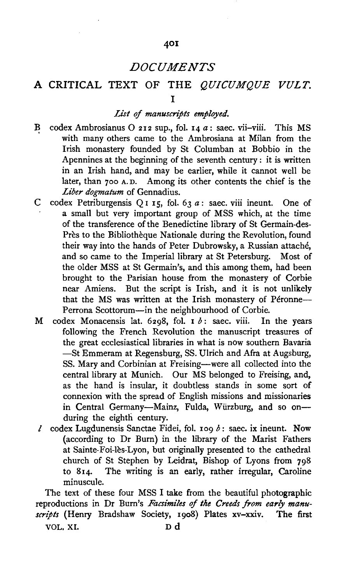## 401

# *DOCUMENTS*

# A CRITICAL TEXT OF THE *QUICUMQUE VULT.*  I

## *List* of *manuscripts employed.*

- B codex Ambrosianus O 212 sup., fol. 14 a: saec. vii-viii. This MS with many others came to the Ambrosiana at Milan from the Irish monastery founded by St Columban at Bobbio in the Apennines at the beginning of the seventh century : it is written in an Irish hand, and may be earlier, while it cannot well be later, than 7oo A. D. Among its other contents the chief is the *Liber dogmatum* of Gennadius.
- C codex Petriburgensis Q 1 15, fol. 63  $a$ : saec. viii ineunt. One of a small but very important group of MSS which, at the time of the transference of the Benedictine library of St Germain-des-Près to the Bibliothèque Nationale during the Revolution, found their way into the hands of Peter Dubrowsky, a Russian attache, and so came to the Imperial library at St Petersburg. Most of the older MSS at St Germain's, and this among them, had been brought to the Parisian house from the monastery of Corbie near Amiens. But the script is Irish, and it is not unlikely that the MS was written at the Irish monastery of Péronne--Perrona Scottorum-in the neighbourhood of Corbie.
- M codex Monacensis lat. 6298, fol.  $\mathbf{I} b$ : saec. viii. In the years following the French Revolution the manuscript treasures of the great ecclesiastical libraries in what is now southern Bavaria -St Emmeram at Regensburg, SS. Ulrich and Afra at Augsburg, SS. Mary and Corbinian at Freising-were all collected into the central library at Munich. Our MS belonged to Freising, and, as the hand is insular, it doubtless stands in some sort of connexion with the spread of English missions and missionaries in Central Germany-Mainz, Fulda, Würzburg, and so onduring the eighth century.
- $l$  codex Lugdunensis Sanctae Fidei, fol. 109  $b$ : saec. ix ineunt. Now (according to Dr Burn} in the library of the Marist Fathers at Sainte-Foi-les-Lyon, but originally presented to the cathedral church of St Stephen by Leidrat, Bishop of Lyons from 798 to 8I4. The writing is an early, rather irregular, Caroline minuscule.

The text of these four MSS I take from the beautiful photographic reproductions in Dr Burn's *Facsimiles* of *the Creeds from early manuscripts* (Henry Bradshaw Society, 1908) Plates xv-xxiv. The first

VOL. XI. D d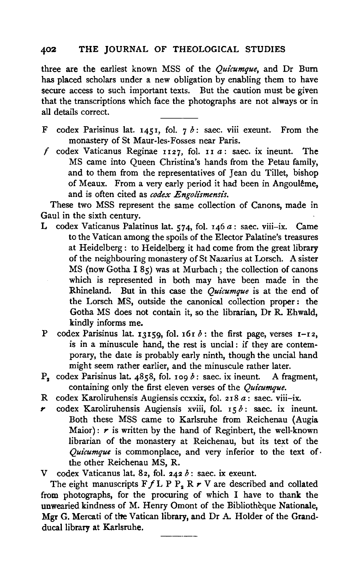three are the earliest known MSS of the *Quicumque,* and Dr Bum has placed scholars under a new obligation by enabling them to have secure access to such important texts. But the caution must be given that the transcriptions which face the photographs are not always or in all details correct.

- F codex Parisinus lat. 1451, fol.  $7 b$ : saec. viii exeunt. From the monastery of St Maur-Ies-Fosses near Paris.
- f codex Vaticanus Reginae  $1127$ , fol.  $11 a$ : saec. ix ineunt. The MS came into Queen Christina's hands from the Petau family, and to them from the representatives of Jean du Tillet, bishop of Meaux. From a very early period it had been in Angoulême, and is often cited as *codex Engolismensis*.

These two MSS represent the same collection of Canons, made in Gaul in the sixth century.

- L codex Vaticanus Palatinus lat. 574, fol. 146  $a$ : saec. viii-ix. Came to the Vatican among the spoils of the Elector Palatine's treasures at Heidelberg : to Heidelberg it had come from the great library of the neighbouring monastery of St Nazarius at Lorsch. A sister  $MS$  (now Gotha I  $85$ ) was at Murbach; the collection of canons which is represented in both may have been made in the Rhineland. But in this case the *Quicumque* is at the end of the Lorsch MS, outside the canonical collection proper : the Gotha MS does not contain it, so the librarian, Dr R. Ehwald, kindly informs me.
- P codex Parisinus lat. 13159, fol. 16r  $\delta$ : the first page, verses I-I2, is in a minuscule hand, the rest is uncial: if they are contemporary, the date is probably early ninth, though the uncial hand might seem rather earlier, and the minuscule rather later.
- $P_2$  codex Parisinus lat. 4858, fol. 109 b: saec. ix ineunt. A fragment, containing only the first eleven verses of the *Quicumque.*
- R codex Karoliruhensis Augiensis ccxxix, fol. 2 I 8 *a* : saec. viii-ix.
- codex Karoliruhensis Augiensis xviii, fol.  $15b$ : saec. ix ineunt. Both these MSS came to Karlsruhe from Reichenau (Augia Maior):  $r$  is written by the hand of Reginbert, the well-known librarian of the monastery at Reichenau, but its text of the *Quicumque* is commonplace, and very inferior to the text of the other Reichenau MS, R.

The eight manuscripts  $F f L P P_2 R r V$  are described and collated from photographs, for the procuring of which I have to thank the unwearied kindness of M. Henry Omont of the Bibliotheque Nationale, Mgr G. Mercati of the Vatican library, and Dr A. Holder of the Grandducal library at Karlsruhe.

V codex Vaticanus lat. 82, fol. 242  $b$ : saec. ix exeunt.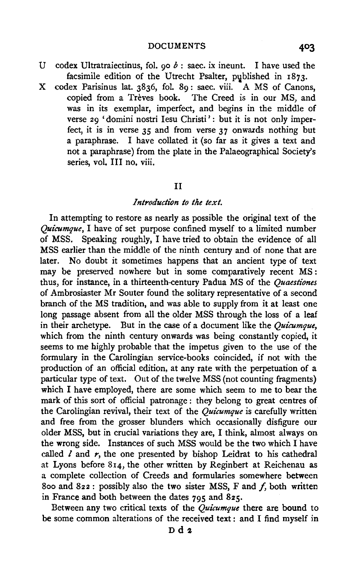- U codex Ultratraiectinus, fol. 90  $b$  : saec. ix ineunt. I have used the facsimile edition of the Utrecht Psalter, published in  $1873$ .
- X codex Parisinus lat. 3836, fol. 89 : saec. viii. A MS of Canons, copied from a Trèves book. The Creed is in our MS, and was in its exemplar, imperfect, and begins in the middle of verse 29 'domini nostri Iesu Christi': but it is not only imperfect, it is in verse 35 and from verse 37 onwacds nothing but a paraphrase. I have collated it (so far as it gives a text and not a paraphrase) from the plate in the Palaeographical Society's series, vol. III no. viii.

## II

### *Introduction to the text.*

In attempting to restore as nearly as possible the original text of the *Quicumque,* I have of set purpose confined myself to a limited number of MSS. Speaking roughly, I have tried to obtain the evidence of all MSS earlier than the middle of the ninth century and of none that are later. No doubt it sometimes happens that an ancient type of text may be preserved nowhere but in some comparatively recent MS : thus, for instance, in a thirteenth-century Padua MS of the *Quaestiones* of Ambrosiaster Mr Souter found the solitary representative of a second branch of the MS tradition, and was able to supply from it at least one long passage absent from all the older MSS through the loss of a leaf in their archetype. But in the case of a document like the *Quicumque,*  which from the ninth century onwards was being constantly copied, it seems to me highly probable that the impetus given to the use of the formulary in the Carolingian service-books coincided, if not with the production of an official edition, at any rate with the perpetuation of a particular type of text. Out of the twelve MSS (not counting fragments) which I have employed, there are some which seem to me to bear the mark of this sort of official patronage : they belong to great centres of the Carolingian revival, their text of the *Quicumque* is carefully written and free from the grosser blunders which occasionally disfigure our older MSS, but in crucial variations they are, I think, almost always on the wrong side. Instances of such MSS would be the two which I have called  $l$  and  $r$ , the one presented by bishop Leidrat to his cathedral at Lyons before 8r4, the other written by Reginbert at Reichenau as a complete collection of Creeds and formularies somewhere between 800 and 822: possibly also the two sister MSS, F and  $f$ , both written in France and both between the dates  $795$  and  $825$ .

Between any two critical texts of the *Quicumque* there are bound to be some common alterations of the received text: and I find myself in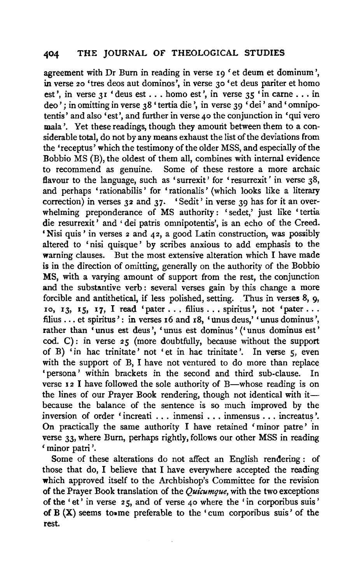agreement with Dr Burn in reading in verse 19 'et deum et dominum ', in verse 20 'tres deos aut dominos', in verse 30 'et deus pariter et homo est', in verse  $31$  'deus est ... homo est', in verse  $35$  'in carne ... in deo'; in omitting in verse 38 'tertia die', in verse 39 'dei' and 'omnipotentis' and also 'est', and further in verse 40 the conjunction in 'qui vero mala'. Yet these readings, though they amount between them to a considerable total, do not by any means exhaust the list of the deviations from the 'receptus' which the testimony of the older MSS, and especially of the Bobbio MS (B), the oldest of them all, combines with internal evidence<br>to recommend as genuine. Some of these restore a more archaic Some of these restore a more archaic flavour to the language, such as 'surrexit' for 'resurrexit' in verse 38, and perhaps 'rationabilis' for 'rationalis' (which looks like a literary correction) in verses 32 and 37. 'Sedit' in verse 39 has for it an overwhelming preponderance of MS authority: 'sedet,' just like 'tertia die resurrexit' and ' dei patris omnipotentis', is an echo of the Creed. 'Nisi quis ' in verses 2 and 42, a good Latin construction, was possibly altered to 'nisi quisque ' by scribes anxious to add emphasis to the warning clauses. But the most extensive alteration which I have made is in the direction of omitting, generally on the authority of the Bobbio MS, with a varying amount of support from the rest, the conjunction and the substantive verb : several verses gain by this change a more forcible and antithetical, if less polished, setting. Thus in verses 8, 9, zo, 13, 15, 17, I read 'pater ... filius ... spiritus', not 'pater ... filius ... et spiritus': in verses x6 and x8, 'unus deus,' 'unus dominus', rather than 'unus est deus', 'unus est dominus' ('unus dominus est' cod. C): in verse 25 (more doubtfully, because without the support of B) 'in hac trinitate' not 'et in hac trinitate '. In verse s, even with the support of B, I have not ventured to do more than replace 'persona ' within brackets in the second and third sub-clause. In verse  $12$  I have followed the sole authority of B—whose reading is on the lines of our Prayer Book rendering, though not identical with itbecause the balance of the sentence is so much improved by the inversion of order 'increati  $\ldots$  inmensi ... inmensus ... increatus'. On practically the same authority I have retained 'minor patre' in verse 33, where Burn, perhaps rightly, follows our other MSS in reading 'minor patri '.

Some of these alterations do not affect an English rendering : of those that do, I believe that I have everywhere accepted the reading which approved itself to the Archbishop's Committee for the revision of the Prayer Book translation of the *Quicumque,* with the two exceptions of the ' et' in verse 2 5, and of verse 40 where the 'in corporibus suis ' of B (X) seems to• me preferable to the 'cum corporibus suis' of the rest.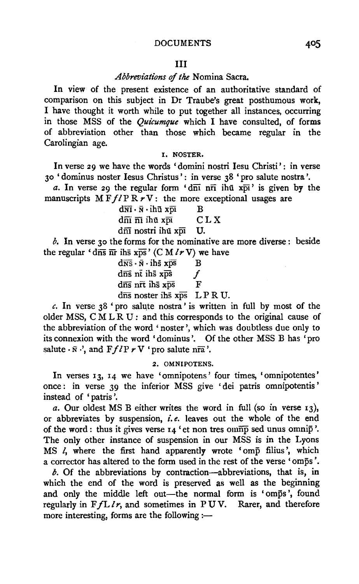## Ill

## *Abbreviations* of *the* Nomina Sacra.

In view of the present existence of an authoritative standard of comparison on this subject in Dr Traube's great posthumous work, I have thought it worth while to put together all instances, occurring in those MSS of the *Quicumque* which I have consulted, of forms of abbreviation other than those which became regular in the Carolingian age.

## I. NOSTER.

In verse 29 we have the words 'domini nostri Iesu Christi': in verse 30 'dominus noster Iesus Christus': in verse 38 'pro salute nostra '.

*a*. In verse 29 the regular form ' $d\overline{n}$  in  $\overline{n}$  ihu  $x\overline{p}$  is given by the manuscripts  $M F f l P R r V$ : the more exceptional usages are

> $\frac{d\overline{N}\overline{I} \cdot \overline{N} \cdot i\overline{h} \overline{u} \times \overline{p}i}{d\overline{m} \overline{n} \overline{n} \cdot i\overline{h} \overline{u} \times \overline{p}i}$  CLX  $d\overline{n}$ i  $\overline{n}$ i ihu xpi

dnī nostri ihū xpī U.

 $b$ . In verse 30 the forms for the nominative are more diverse: beside the regular 'dns  $\overline{nr}$  ihs xps' (CM  $l r V$ ) we have

 $d\overline{\text{NS}} \cdot \overline{\text{N}} \cdot \text{ih}\overline{\text{s}}$  xps  $B$  $\frac{d\overline{n}}{s}$  nt ihs  $x\overline{p}s$  f  $d\overline{n}$ s nrī ihs  $x\overline{p}s$  F  $d\overline{n}$ s noster ihs  $x\overline{ps}$  LPRU.

 $c$ . In verse  $38$  'pro salute nostra' is written in full by most of the older MSS, CMLRU: and this corresponds to the original cause of the abbreviation of the word' noster ', which was doubtless due only to its connexion with the word 'dominus'. Of the other MSS B has 'pro salute  $\cdot \bar{\mathbf{n}} \cdot \cdot$ , and  $\mathbf{F} f I \mathbf{P} \cdot \mathbf{V}$  'pro salute nra'.

## 2. OMNIPOTENS.

In verses 13, 14 we have 'omnipotens' four times, 'omnipotentes' once: in verse 39 the inferior MSS give 'dei patris omnipotentis' instead of 'patris '.

*a.* Our oldest MS B either writes the word in full (so in verse 13), or abbreviates by suspension, *i.e.* leaves out the whole of the end of the word: thus it gives verse  $I_4$  'et non tres omn $\overline{np}$  sed unus omni $\overline{p}$ '. The only other instance of suspension in our MSS is in the Lyons MS l, where the first hand apparently wrote 'omp filius', which a corrector has altered to the form used in the rest of the verse 'omps '.

*b.* Of the abbreviations by contraction-abbreviations, that is, in which the end of the word is preserved as well as the beginning and only the middle left out-the normal form is 'omps', found regularly in *FfLlr*, and sometimes in PUV. Rarer, and therefore more interesting, forms are the following :-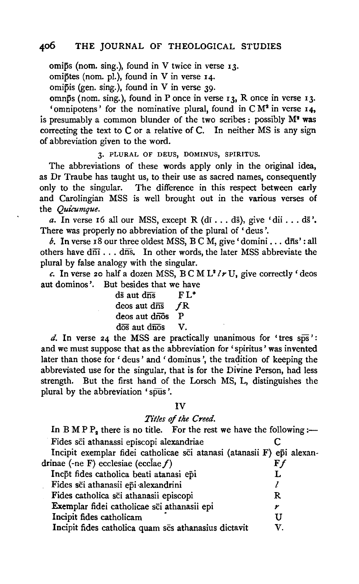omips (nom. sing.), found in V twice in verse  $13$ .

omiptes (nom. pi.), found in V in verse I4·

omipis (gen. sing.), found in V in verse 39·

omnps (nom. sing.), found in P once in verse 13, R once in verse 13. 'omnipotens' for the nominative plural, found in  $CM<sup>2</sup>$  in verse 14, is presumably a common blunder of the two scribes : possibly M' was correcting the text to C or a relative of C. In neither MS is any sign of abbreviation given to the word.

3· PLURAL OF DEUS, DOMINUS, SPIRITUS.

The abbreviations of these words apply only in the original idea, as Dr Traube has taught us, to their use as sacred names, consequently only to the singular. The difference in this respect between early and Carolingian MSS is well brought out in the various verses of the *Quicumque.* 

*a*. In verse 16 all our MSS, except R  $(d_i \ldots d\bar{s})$ , give 'dii ...  $d\bar{s}$ '. There was properly no abbreviation of the plural of 'deus '.

*b*. In verse 18 our three oldest MSS,  $B \subset M$ , give 'domini . . . dns': all others have  $d\overline{n}$ ...  $d\overline{n}$ s. In other words, the later MSS abbreviate the plural by false analogy with the singular.

*c.* In verse 20 half a dozen MSS,  $B \subset M L^2 / r U$ , give correctly 'deos aut dominos'. But besides that we have

| ds aut dns                             | $FL^*$ |
|----------------------------------------|--------|
| $deos$ aut $d\overline{ns}$            | fR.    |
| deos aut drios                         | Р      |
| $d\overline{os}$ aut $d\overline{nos}$ | V.     |

d. In verse 24 the MSS are practically unanimous for 'tres  $s\overline{ps}$ ': and we must suppose that as the abbreviation for 'spiritus' was invented later than those for 'deus' and 'dominus', the tradition of keeping the abbreviated use for the singular, that is for the Divine Person, had less strength. But the first hand of the Lorsch MS, L, distinguishes the plural by the abbreviation 'spus '.

### IV

### *Titles* of *the Creed.*

| Titles of the Creed.                                                    |    |
|-------------------------------------------------------------------------|----|
| In B M P $P_2$ there is no title. For the rest we have the following :- |    |
| Fides sci athanassi episcopi alexandriae                                |    |
| Incipit exemplar fidei catholicae sci atanasi (atanasii F) epi alexan-  |    |
| drinae (-ne F) ecclesiae (ecclae $f$ )                                  | Ff |
| Incpt fides catholica beati atanasi epi                                 |    |
| Fides sci athanasii epi alexandrini                                     |    |
| Fides catholica sci athanasii episcopi                                  | R  |
| Exemplar fidei catholicae sci athanasii epi                             | r  |
| Incipit fides catholicam                                                | U  |
| Incipit fides catholica quam ses athanasius dictavit                    | V  |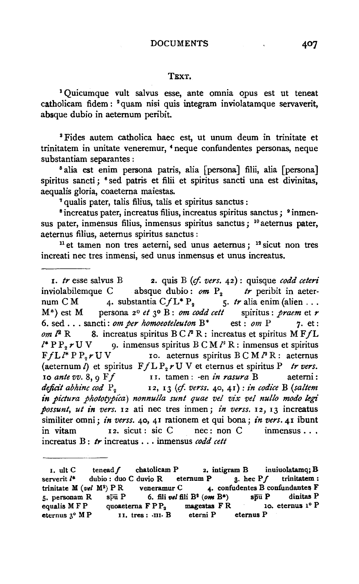#### TEXT.

<sup>1</sup>Quicumque vult salvus esse, ante omnia qpus est ut teneat catholicam fidem : <sup>2</sup> quam nisi quis integram inviolatamque servaverit, absque dubio in aetemum peribit.

3 Fides autem catholica haec est, ut unum deum in trinitate et trinitatem in unitate veneremur, • neque confundentes personas, neque

<sup>5</sup> alia est enim persona patris, alia [persona] filii, alia [persona] spiritus sancti; <sup>6</sup> sed patris et filii et spiritus sancti una est divinitas, aequalis gloria, coaeterna maiestas.<br><sup>7</sup> qualis pater, talis filius, talis et spiritus sanctus : <sup>9</sup> inmen-<br><sup>8</sup> increatus pater, increatus filius, increatus spiritus sanctus ; <sup>9</sup> inmen-

sus pater, inmensus filius, inmensus spiritus sanctus ; 10 aeternus pater, aeternus filius, aeternus spiritus sanctus :<br> $11$  et tamen non tres aeterni, sed unus aeternus ;  $12$  sicut non tres

increati nec tres inmensi, sed unus inmensus et unus increatus.

1. *tr* esse salvus B 2. quis B (cf. *vers.* 42): quisque *codd ceteri* inviolabilemque C absque dubio:  $\omega m$  P<sub>2</sub> *tr* peribit in aeter-<br>num CM 4. substantia C $fL^*P_2$  5. tr alia enim (alien ... 5.  $tr$  alia enim (alien ... M\*) est M persona 2° *et* 3o B: *om codd cett* spiritus: *praem* et *r*  6. sed . . . sancti: *om per homoeoteleuton*  $B^*$  est : *om* P 7. et : *om*  $l^2$  R 8. increatus spiritus B C  $l^2$  R : increatus et spiritus M F  $f$ L  $l^*$  P  $P_2$  *r* U V 9. inmensus spiritus B C M  $l^2$  R : inmensus et spiritus F  $f L l^*$  P  $P_2$  r U V 10. aeternus spiritus B C M  $l^2$  R : aeternus ro. aeternus spiritus  $B \subset M$   $^2R$  : aeternus (aeternum  $\overline{l}$ ) et spiritus  $F f L P_2 r U V$  et eternus et spiritus P *tr vers.*<br>
10 ante vv. 8, 9 F f 11. tamen : -en *in rasura* B aeterni : II. tamen : -en *in rasura* B aeterni: deficit abhinc cod  $P_2$  12, 13 (cf. verss. 40, 41): in codice B (saltem *in pictura phototypica) nonnulla sunt quae vel vix vel nullo modo* legi *possunt, ut in vers.* I2 ati nee tres inmen; *in verss.* I2, 13 increatus similiter omni; *in verss.* 40, 41 rationem et qui bona; *in vers.* 41 ibunt<br>in vitam 12. sicut: sic C nec: non C inmensus... in vitam  $z^2$ , sicut : sic C nec : non C inmensus . . . increatus B : *tr* increatus ... inmensus *codd cett* 

<sup>1.</sup> ult C tenead f chatolicam P 2. intigram B inuiuolatamq; B serverit  $l^*$  dubio : duo C duvio R eternum P 3. hec Pf trinitatem : trinitate M (vel M<sup>2</sup>) PR veneramur C 4. confudentes B confundantes F s. personam R spu P 6. fili *vel* fili B2 *(om* B\*) spu P dinitas P equalis  $M F P$  quoaeterna  $F P P_2$  magestas  $F R$  1.<br>
eternus 3°  $M P$  11. tres : 111. B eterni P eternus P 11. tres: ·III· B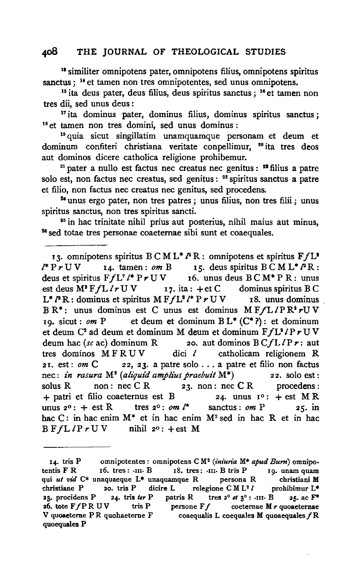<sup>18</sup> similiter omnipotens pater, omnipotens filius, omnipotens spiritus sanctus ; <sup>14</sup> et tamen non tres omnipotentes, sed unus omnipotens.

<sup>16</sup> ita deus pater, deus filius, deus spiritus sanctus ; <sup>16</sup> et tamen non tres dii, sed unus deus :

<sup>17</sup> ita dominus pater, dominus filius, dominus spiritus sanctus; <sup>18</sup> et tamen non tres domini, sed unus dominus : <sup>19</sup> quia sicut singillatim unamquamque personam et deum et

dominum confiteri christiana veritate conpellimur, <sup>20</sup> ita tres deos aut dominos dicere catholica religione prohibemur.

<sup>21</sup> pater a nullo est factus nec creatus nec genitus : <sup>22</sup> filius a patre solo est, non factus nec creatus, sed genitus : <sup>28</sup> spiritus sanctus a patre et filio, non factus nee creatus nee genitus, sed procedens.

<sup>24</sup> unus ergo pater, non tres patres ; unus filius, non tres filii ; unus spiritus sanctus, non tres spiritus sancti.

<sup>35</sup> in hac trinitate nihil prius aut posterius, nihil maius aut minus, <sup>28</sup> sed totae tres personae coaeternae sibi sunt et coaequales.

13. omnipotens spiritus B C M L<sup>\*</sup>  $P$  R : omnipotens et spiritus F  $f$  L<sup>\*</sup>  $P$   $r$  U V 14. tamen : *om* B 15. deus spiritus B C M L<sup>\*</sup>  $P$  R : 15. deus spiritus BCML<sup>\*</sup> *P*R:<br>16. unus deus BCM<sup>\*</sup> PR: unus deus et spiritus  $F f L^2 / F r U V$  16. unus deus  $B C M^* P R$ : unus est deus  $M^2 F f L / r U V$  17. ita : +et C dominus spiritus  $B C$ est deus  $M^2FfL/rUV$   $r7.$  ita :  $+et C$  dominus spiritus B C<br>  $L^*P \times$ : dominus et spiritus  $M FfL^2/r P r UV$   $r8.$  unus dominus  $L^* P R$ : dominus et spiritus M  $F f L^2 / P r U V$  $BR^*$ : unus dominus est C unus est dominus M  $F/L/PR^*rUV$ <br>10. sicut: *om* P et deum et dominum  $BL^*(C^*)$ : et dominum et deum et dominum  $BL^*$   $(C^*)$  : et dominum et deum C<sup>2</sup> ad deum et dominum M deum et dominum  $FfL^2/PrUV$  deum hac (sc ac) dominum R 20. aut dominos  $BCfL/Pr$ ; aut zo. aut dominos  $B\ Cf L/Pr$ : aut dici  $l$  catholicam religionem R tres dominos  $M$  F R U V 21. est: *om* C 22, 23. a patre solo . . . a patre et filio non factus nec: *in rasura* M<sup>2</sup> (*aliquid amplius praebuit* M<sup>\*</sup>) 22. solo est: nee: *in rasura* M2 *(aliqui'd amplius praebuit* M\*) 22. solo est: solus R non: nec C R  $23.$  non: nec C R procedens: + patri et filio coaeternus est B 24. unus  $1^{\circ}$ : + est M R<br>unus  $2^{\circ}$ : + est R tres  $2^{\circ}$ : *om l*<sup>\*</sup> sanctus: *om* P 25. in unus  $2^0$ :  $+$  est R tres  $2^0$ : *om l*\* sanctus: *om* P 25, in hac C: in hac enim  $M^*$  et in hac enim  $M^2$  sed in hac R et in hac B  $F f L l P r U V$  nihil  $2^0$ : + est M nihil  $2^0$ : +est M

<sup>14.</sup> tris P omnipotentes: omnipotens C M2 *(iniun·a* M\* *apud Burn)* omnipotentis F R 16. tres: ·111· B 18. tres: ·Ill· B tris P 19. unam quam qui *ut vid* C\* unaquaeque L\* unaquamque R persona R christiani M<br>christiane P 20. tris P dicire L relegione CM L<sup>2</sup> l prohibimur L\* christiane P 20. tris P dicire L relegione CM L<sup>2</sup> l prohibimur L<sup>\*</sup> 23. procidens P 24. tris ter P patris R tres  $2^{\circ}$  et  $3^{\circ}$ : ·III· B 25. ac  $F^*$ <br>26. tote FfPRUV tris P persone Ff coeternae M r quoaeternae 26. tote FfP R U V tris P persone Ff coeternae M r quoaeternae<br>V quoaeterne P R quohaeterne F coaequalis L coequales M quoaequales f R coaequalis L coequales M quoaequales  $f \mathbf{R}$ quoequales P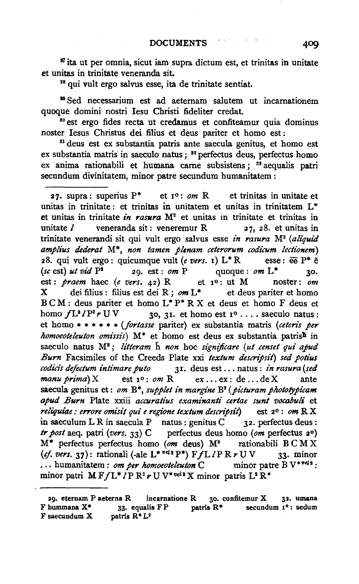<sup>37</sup> ita ut per omnia, sicut iam supra dictum est, et trinitas in unitate et unitas in trinitate veneranda sit.<br><sup>28</sup> qui vult ergo salvus esse, ita de trinitate sentiat.

<sup>39</sup> Sed necessarium est ad aeternam salutem ut incarnationem quoque domini nostri Iesu Cbristi fideliter credat.

so est ergo fides recta ut credamus et confiteamur quia dominus noster Iesus Cbristus dei filius et deus pariter et homo est :

si deus est ex substantia patris ante saecula genitus, et homo est ex substantia matris in saeculo natus; <sup>32</sup> perfectus deus, perfectus homo ex anima rationabili et humana carne subsistens; <sup>ss</sup> aequalis patri secundum divinitatem, minor patre secundum humanitatem :

27. supra: superius  $P^*$  et  $I^0$ :  $\omega m$  R et trinitas in unitate et unitas in trinitate: et trinitas in unitatem et unitas in trinitatem L<sup>\*</sup> et unitas in trinitate *in raswra* M2 et unitas in trinitate et trinitas in unitate  $l$  veneranda sit: veneremur R  $27$ , 28. et unitas in trinitate venerandi sit qui vult ergo salvus esse *in rasura* M2 *(aliquid amplius dederat* M\*, *non tamen plenam ceterorum codicum lectionem)*  28. qui vult ergo: quicumque vult (e vers. 1)  $L^*R$  esse:  $\overline{e}$  P<sup>\*</sup>  $\overline{e}$  $(s \epsilon \text{ est})$  *ut vid*  $P^2$  29. est : *om* P quoque : *om*  $L^*$  30. est: *praem* haec (e *vers.* 42) R et xo: ut M noster: *om*   $X$  dei filius : filius est dei R ;  $om L^*$  et deus pariter et homo B C M : deus pariter et homo L\* P\* R X et deus et homo F deus et homo  $fL^2/P^2 r$  U V 30, 31. et homo est  $I^0 \ldots$  saeculo natus: et homo \* \* \* \* \* \* *(fortasse pariter)* ex substantia matris *(ceteris per homoeoteleuton omissis*)  $M^*$  et homo est deus ex substantia patris<sup>h</sup> in saeculo natus M<sup>2</sup>; *litteram* h non hoc *significare* (ut censet qui apud *Burn* Facsimiles of the Creeds Plate xxi *textum descripsit) sed potius codids defectum intimare puto* 31. deus est ... natus: *in rasura (sed*   $manu \, prima)$  X est  $v: om R$  ex... ex: de... de X ante saecula genitus et: om B<sup>\*</sup>, *supplet in margine* B<sup>2</sup> (*picturam phototypicam apud Burn* Plate xxiii *accuratius examinanti certae sun/ vocabuli* et *reliljuiae: errore omisit qui e regione textum descnpsit)* est 2o : *am* R X in saeculum L R in saecula P natus : genitus C  $32$ . perfectus deus : *tr post* aeq. patri *(vers.* 33) C perfectus deus homo *(am* perfectus 2°)  $M^*$  perfectus perfectus homo (om deus)  $M^2$  rationabili BCMX (ef. vers. 37): rationali (-ale L<sup>\* vel2</sup>P<sup>\*</sup>)  $F/L/PRrUV$  33. minor ... humanitatem : *om per homoeoteleuton* C minor patre B V<sup>\*vel2</sup>: minor patri  $M F/L^* I P R^2 r U V^{*vel2} X$  minor patris  $L^2 R^*$ 

<sup>29.</sup> eternam P aeterna R incarnatione R 30. confitemur X 32. umana F hummana  $X^*$  33. equalis  $FP$  patris  $R^*$  secundum  $I^0$ : sedum F saecundum  $X$  patris  $R^*L^2$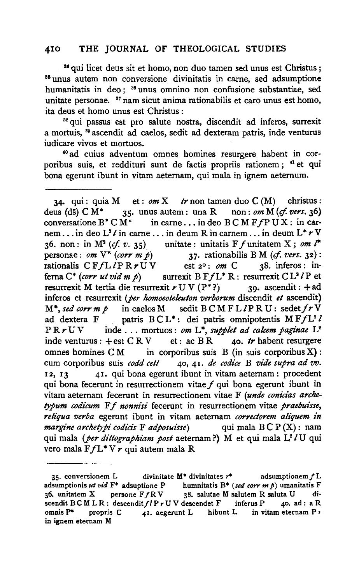<sup>34</sup> qui licet deus sit et homo, non duo tamen sed unus est Christus; <sup>35</sup> unus autem non conversione divinitatis in carne, sed adsumptione humanitatis in deo; <sup>36</sup> unus omnino non confusione substantiae, sed unitate personae.  $37$  nam sicut anima rationabilis et caro unus est homo, ita deus et homo unus est Christus :

<sup>38</sup> qui passus est pro salute nostra, discendit ad inferos, surrexit a mortuis, 89 ascendit ad caelos, sedit ad dexteram patris, inde venturus iudicare vivos et mortuos.

~o ad cuius adventum omnes homines resurg~re habent in corporibus suis, et reddituri sunt de factis propriis rationem; <sup>41</sup> et qui bona egerunt ibunt in vitam aeternam, qui mala in ignem aetemum.

34. qui : quia  $M$  et : *om*  $X$  *tr* non tamen duo  $C(M)$  christus : deus (ds)  $CM^*$  35. unus autem: una R non: *om*  $M$  (*cf. vers.* 36)<br>conversatione  $B^* C M^*$  in carne... in deo  $B C M F f P U X$ : in carin carne... in deo  $B$  C M  $F$  *fP U X* : in carnem ... in deo  $L^2 \ell$  in carne ... in deum R in carnem ... in deum  $L^* \ell^V$ <br>36. non : in  $M^2$  (*cf. v.* 35) unitate : unitatis F f unitatem X ; *om*  $l^*$ 36. non: in  $M^2$  (*cf. v.* 35) unitate: unitatis  $F f$  unitatem X; *om l*\*<br>personae: *om*  $V^*$  *(corr m p*) 37. rationabilis B M (*cf. vers.* 32): 37. rationabilis BM ( $of. vers.$  32):<br>
st  $2^{\circ}$ :  $om C$  38. inferos: inrationalis  $CFfL\ddot{P}Rr\dot{U}\dot{V}$  est 2°: *om* C<br>ferna C<sup>\*</sup> (corr ut vid m p) surrexit  $B$  F  $fL^*R$ : full matrix B F  $fL^* R$ : resurrexit C  $L^2 I$  P et xit  $r U V (P^*)$  30. ascendit:  $+ ad$ resurrexit M tertia die resurrexit  $r \text{U} \text{V}$  (P<sup>\*</sup>?) inferos et resurrexit (*per homoeoteleuton verborum* discendit *et* ascendit)<br>M<sup>\*</sup>, *sed corr m p* in caelos M sedit B C M F L *I* P R U : sedet *f r* V  $M^*$ , *sed corrmp* in caelos M sedit  $B \subset M F L / P R U$ : sedet  $f r V$ <br>ad dextera  $F$  patris  $B \subset L^*$ : dei patris omnipotentis  $M F f L^2 V$ ad dextera F patris  $BCL^*$ : dei patris omnipotentis  $M F f L^2 l$ <br> $P R \neq UV$  inde... mortuos: *om*  $L^*$  *supplet ad calcem paginae*  $L^2$ inde ... mortuos : *om*  $L^*$ , *supplet ad calcem paginae*  $L^2$ <br>+ est C R V et : ac B R **40.** tr habent resurgere inde venturus :  $+$ est C R V. omnes homines  $CM$  in corporibus suis B (in suis corporibus X) : cum corporibus suis *codd cett* 40, 41. *de codice* B *vide supra ad vv.*  12, 13 41. qui bona egerunt ibunt in vitam aeternam: procedent qui bona fecerunt in resurrectionem vitae  $f$  qui bona egerunt ibunt in vitam aeternam fecerunt in resurrectionem vitae F (unde conicias arche*typum codicum* F f *nonnisi* fecerunt in resurrectionem vitae *praebuisse, reliqua verba* egerunt ibunt in vitam aetemam *correclorem aliquem in margine archetypi codicis* **F** *adposuisse*) qui mala BC P (X): nam qui mala (per dittographiam post aeternam?) M et qui mala L<sup>2</sup>/U qui vero mala  $F/L^*V r$  qui autem mala R

<sup>35.</sup> conversionem L divinitate  $M^*$  divinitates  $r^*$  adsumptionem  $f$  L adsumptionis *ut vid* F\* adsuptione P humnitatis B\* *(sed corr m* p) umanitatis F 36. unitatem X persone F *f* R V 38. salutae M salutem R saluta U di-<br>scendit B C M L R : descendit *f l* P r U V descendet F inferus P 40. ad : a R scendit  $B \subset M \cup R$ : descendit  $f/P r U V$  descendet F<br>omnis P\* propris C 41. aegerunt L hibus propris C 41. aegerunt L hibunt L in vitam eternam P  $\prime$ in ignem eternam M